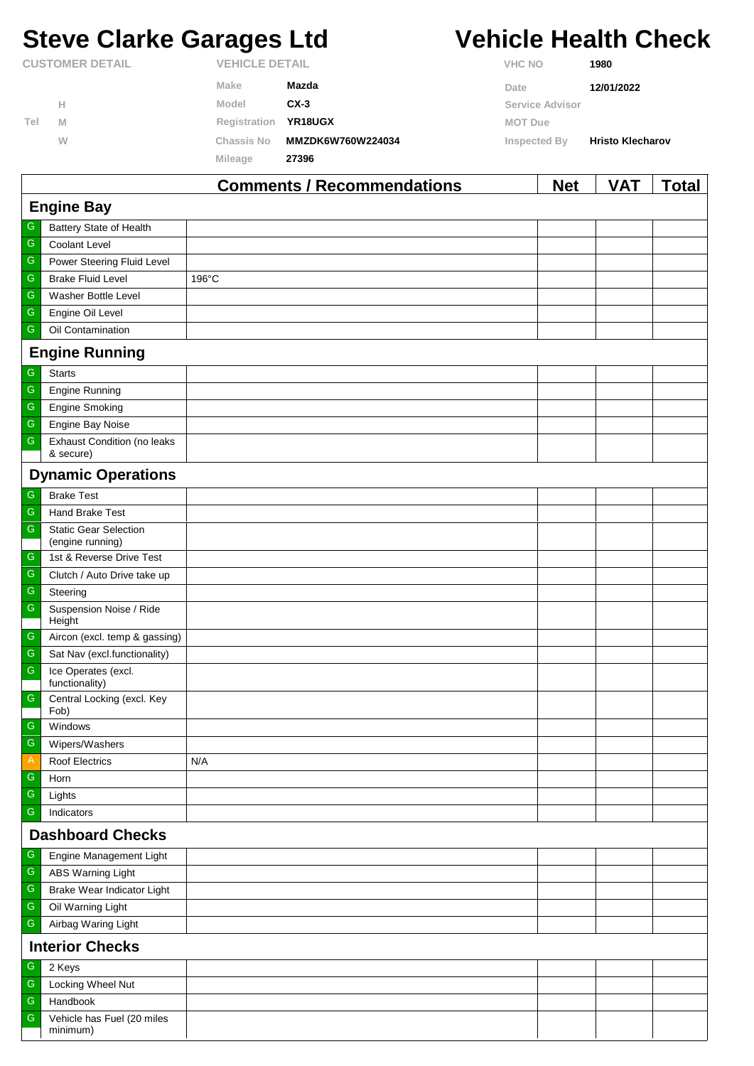# **Steve Clarke Garages Ltd Vehicle Health Check**

|                        |   |                       | Commonte / Pecommondations | N <sub>0</sub>  | VAT.                    | $T0$ tal |
|------------------------|---|-----------------------|----------------------------|-----------------|-------------------------|----------|
|                        |   | Mileage               | 27396                      |                 |                         |          |
|                        | W | Chassis No            | MMZDK6W760W224034          | Inspected By    | <b>Hristo Klecharov</b> |          |
| Tel                    | M | Registration          | YR18UGX                    | <b>MOT Due</b>  |                         |          |
|                        | н | Model                 | $CX-3$                     | Service Advisor |                         |          |
|                        |   | Make                  | Mazda                      | Date            | 12/01/2022              |          |
| <b>CUSTOMER DETAIL</b> |   | <b>VEHICLE DETAIL</b> |                            | <b>VHC NO</b>   | 1980                    |          |

|                         |                                                  | <b>Comments / Recommendations</b> | <b>Net</b> | <b>VAT</b> | Total |  |  |  |
|-------------------------|--------------------------------------------------|-----------------------------------|------------|------------|-------|--|--|--|
| <b>Engine Bay</b>       |                                                  |                                   |            |            |       |  |  |  |
| G                       | Battery State of Health                          |                                   |            |            |       |  |  |  |
| ${\mathsf G}$           | <b>Coolant Level</b>                             |                                   |            |            |       |  |  |  |
| ${\mathsf G}$           | Power Steering Fluid Level                       |                                   |            |            |       |  |  |  |
| G                       | <b>Brake Fluid Level</b>                         | $196^{\circ}$ C                   |            |            |       |  |  |  |
| ${\mathsf G}$           | Washer Bottle Level                              |                                   |            |            |       |  |  |  |
| ${\mathsf G}$           | Engine Oil Level                                 |                                   |            |            |       |  |  |  |
| ${\mathsf G}$           | Oil Contamination                                |                                   |            |            |       |  |  |  |
|                         | <b>Engine Running</b>                            |                                   |            |            |       |  |  |  |
| ${\mathsf G}$           | <b>Starts</b>                                    |                                   |            |            |       |  |  |  |
| ${\mathsf G}$           | <b>Engine Running</b>                            |                                   |            |            |       |  |  |  |
| ${\mathsf G}$           | <b>Engine Smoking</b>                            |                                   |            |            |       |  |  |  |
| ${\mathsf G}$           | Engine Bay Noise                                 |                                   |            |            |       |  |  |  |
| ${\mathsf G}$           | <b>Exhaust Condition (no leaks</b><br>& secure)  |                                   |            |            |       |  |  |  |
|                         | <b>Dynamic Operations</b>                        |                                   |            |            |       |  |  |  |
| ${\mathsf G}$           | <b>Brake Test</b>                                |                                   |            |            |       |  |  |  |
| G                       | <b>Hand Brake Test</b>                           |                                   |            |            |       |  |  |  |
| ${\mathsf G}$           | <b>Static Gear Selection</b><br>(engine running) |                                   |            |            |       |  |  |  |
| ${\mathbb G}$           | 1st & Reverse Drive Test                         |                                   |            |            |       |  |  |  |
| ${\mathsf G}$           | Clutch / Auto Drive take up                      |                                   |            |            |       |  |  |  |
| ${\mathsf G}$           | Steering                                         |                                   |            |            |       |  |  |  |
| ${\mathsf G}$           | Suspension Noise / Ride<br>Height                |                                   |            |            |       |  |  |  |
| ${\mathsf G}$           | Aircon (excl. temp & gassing)                    |                                   |            |            |       |  |  |  |
| ${\mathsf G}$           | Sat Nav (excl.functionality)                     |                                   |            |            |       |  |  |  |
| ${\mathsf G}$           | Ice Operates (excl.<br>functionality)            |                                   |            |            |       |  |  |  |
| ${\mathsf G}$           | Central Locking (excl. Key<br>Fob)               |                                   |            |            |       |  |  |  |
| ${\mathsf G}$           | Windows                                          |                                   |            |            |       |  |  |  |
| ${\mathsf G}$           | Wipers/Washers                                   |                                   |            |            |       |  |  |  |
| $\mathsf{A}$            | <b>Roof Electrics</b>                            | N/A                               |            |            |       |  |  |  |
| G                       | Horn                                             |                                   |            |            |       |  |  |  |
| ${\mathsf G}$           | Lights                                           |                                   |            |            |       |  |  |  |
| G                       | Indicators                                       |                                   |            |            |       |  |  |  |
| <b>Dashboard Checks</b> |                                                  |                                   |            |            |       |  |  |  |
| ${\mathsf G}$           | Engine Management Light                          |                                   |            |            |       |  |  |  |
| ${\mathsf G}$           | ABS Warning Light                                |                                   |            |            |       |  |  |  |
| ${\mathsf G}$           | Brake Wear Indicator Light                       |                                   |            |            |       |  |  |  |
| ${\mathsf G}$           | Oil Warning Light                                |                                   |            |            |       |  |  |  |
| ${\mathsf G}$           | Airbag Waring Light                              |                                   |            |            |       |  |  |  |
| <b>Interior Checks</b>  |                                                  |                                   |            |            |       |  |  |  |
| ${\mathsf G}$           | 2 Keys                                           |                                   |            |            |       |  |  |  |
| ${\mathsf G}$           | Locking Wheel Nut                                |                                   |            |            |       |  |  |  |
| ${\mathsf G}$           | Handbook                                         |                                   |            |            |       |  |  |  |
| G                       | Vehicle has Fuel (20 miles<br>minimum)           |                                   |            |            |       |  |  |  |